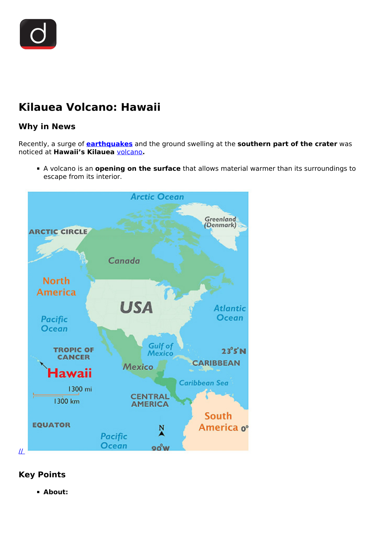

## **Kilauea Volcano: Hawaii**

## **Why in News**

Recently, a surge of **[earthquakes](/to-the-points/paper1/earthquake-4)** and the ground swelling at the **southern part of the crater** was noticed at **Hawaii's Kilauea** [volcano](/daily-updates/daily-news-analysis/eruption-on-mount-etna)**.**

A volcano is an **opening on the surface** that allows material warmer than its surroundings to escape from its interior.



## **Key Points**

**About:**